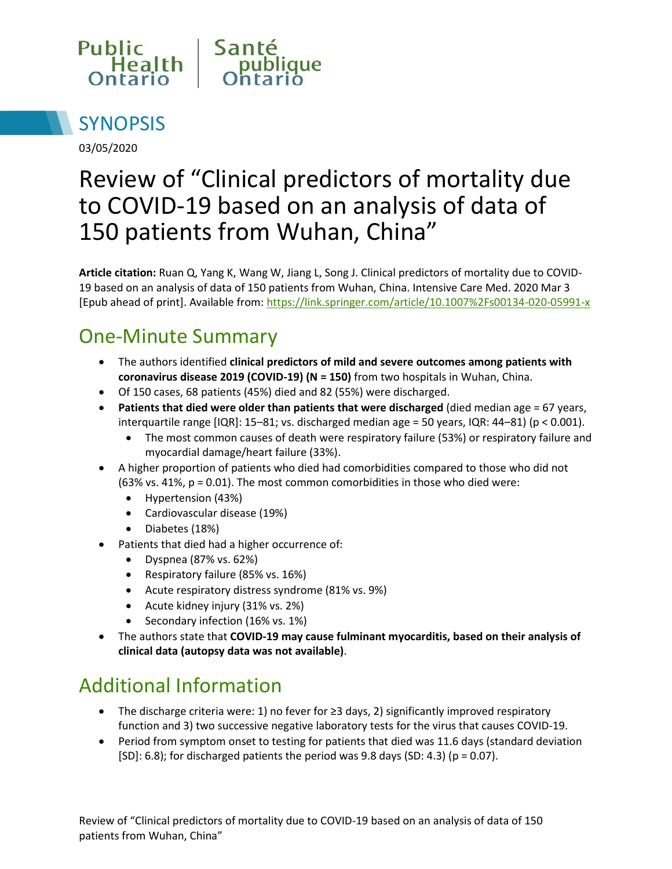



03/05/2020

# Review of "Clinical predictors of mortality due to COVID-19 based on an analysis of data of 150 patients from Wuhan, China"

**Article citation:** Ruan Q, Yang K, Wang W, Jiang L, Song J. Clinical predictors of mortality due to COVID-19 based on an analysis of data of 150 patients from Wuhan, China. Intensive Care Med. 2020 Mar 3 [Epub ahead of print]. Available from:<https://link.springer.com/article/10.1007%2Fs00134-020-05991-x>

#### One-Minute Summary

- The authors identified **clinical predictors of mild and severe outcomes among patients with coronavirus disease 2019 (COVID-19) (N = 150)** from two hospitals in Wuhan, China.
- Of 150 cases, 68 patients (45%) died and 82 (55%) were discharged.
- **Patients that died were older than patients that were discharged** (died median age = 67 years, interquartile range  $[IQR]$ : 15–81; vs. discharged median age = 50 years,  $IQR$ : 44–81) ( $p < 0.001$ ).
	- The most common causes of death were respiratory failure (53%) or respiratory failure and myocardial damage/heart failure (33%).
- A higher proportion of patients who died had comorbidities compared to those who did not (63% vs. 41%, p = 0.01). The most common comorbidities in those who died were:
	- Hypertension (43%)
	- Cardiovascular disease (19%)
	- Diabetes (18%)
- Patients that died had a higher occurrence of:
	- Dyspnea (87% vs. 62%)
	- Respiratory failure (85% vs. 16%)
	- Acute respiratory distress syndrome (81% vs. 9%)
	- Acute kidney injury (31% vs. 2%)
	- Secondary infection (16% vs. 1%)
- The authors state that **COVID-19 may cause fulminant myocarditis, based on their analysis of clinical data (autopsy data was not available)**.

## Additional Information

- The discharge criteria were: 1) no fever for ≥3 days, 2) significantly improved respiratory function and 3) two successive negative laboratory tests for the virus that causes COVID-19.
- Period from symptom onset to testing for patients that died was 11.6 days (standard deviation  $[SD]: 6.8$ ; for discharged patients the period was 9.8 days  $(SD: 4.3)$  (p = 0.07).